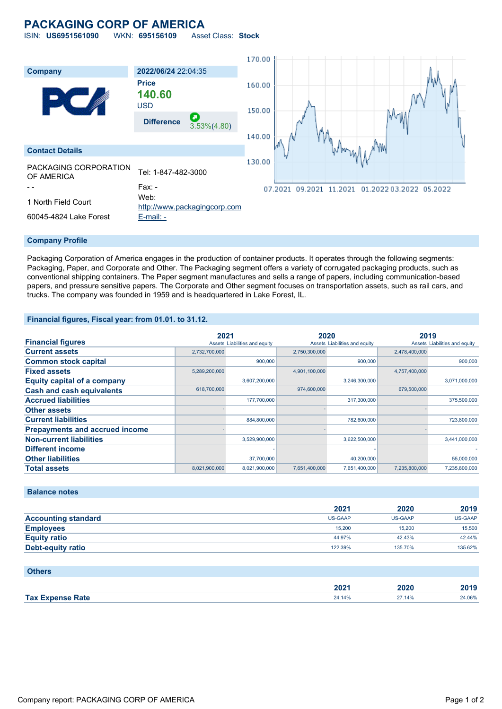# **PACKAGING CORP OF AMERICA**

ISIN: **US6951561090** WKN: **695156109** Asset Class: **Stock**



#### **Company Profile**

Packaging Corporation of America engages in the production of container products. It operates through the following segments: Packaging, Paper, and Corporate and Other. The Packaging segment offers a variety of corrugated packaging products, such as conventional shipping containers. The Paper segment manufactures and sells a range of papers, including communication-based papers, and pressure sensitive papers. The Corporate and Other segment focuses on transportation assets, such as rail cars, and trucks. The company was founded in 1959 and is headquartered in Lake Forest, IL.

#### **Financial figures, Fiscal year: from 01.01. to 31.12.**

|                                       | 2021          |                               | 2020          |                               | 2019          |                               |
|---------------------------------------|---------------|-------------------------------|---------------|-------------------------------|---------------|-------------------------------|
| <b>Financial figures</b>              |               | Assets Liabilities and equity |               | Assets Liabilities and equity |               | Assets Liabilities and equity |
| <b>Current assets</b>                 | 2,732,700,000 |                               | 2,750,300,000 |                               | 2,478,400,000 |                               |
| <b>Common stock capital</b>           |               | 900.000                       |               | 900.000                       |               | 900,000                       |
| <b>Fixed assets</b>                   | 5,289,200,000 |                               | 4,901,100,000 |                               | 4,757,400,000 |                               |
| <b>Equity capital of a company</b>    |               | 3,607,200,000                 |               | 3,246,300,000                 |               | 3,071,000,000                 |
| <b>Cash and cash equivalents</b>      | 618,700,000   |                               | 974,600,000   |                               | 679,500,000   |                               |
| <b>Accrued liabilities</b>            |               | 177,700,000                   |               | 317,300,000                   |               | 375,500,000                   |
| <b>Other assets</b>                   |               |                               |               |                               |               |                               |
| <b>Current liabilities</b>            |               | 884,800,000                   |               | 782,600,000                   |               | 723,800,000                   |
| <b>Prepayments and accrued income</b> |               |                               |               |                               |               |                               |
| <b>Non-current liabilities</b>        |               | 3,529,900,000                 |               | 3,622,500,000                 |               | 3,441,000,000                 |
| <b>Different income</b>               |               |                               |               |                               |               |                               |
| <b>Other liabilities</b>              |               | 37,700,000                    |               | 40,200,000                    |               | 55,000,000                    |
| <b>Total assets</b>                   | 8,021,900,000 | 8,021,900,000                 | 7,651,400,000 | 7,651,400,000                 | 7,235,800,000 | 7,235,800,000                 |

#### **Balance notes**

|                            | 2021           | 2020    | 2019    |
|----------------------------|----------------|---------|---------|
| <b>Accounting standard</b> | <b>US-GAAP</b> | US-GAAP | US-GAAP |
| <b>Employees</b>           | 15,200         | 15,200  | 15,500  |
| <b>Equity ratio</b>        | 44.97%         | 42.43%  | 42.44%  |
| <b>Debt-equity ratio</b>   | 122.39%        | 135.70% | 135.62% |

| <b>Others</b>           |        |        |        |
|-------------------------|--------|--------|--------|
|                         | 2021   | 2020   | 2019   |
| <b>Tax Expense Rate</b> | 24.14% | 27.14% | 24.06% |